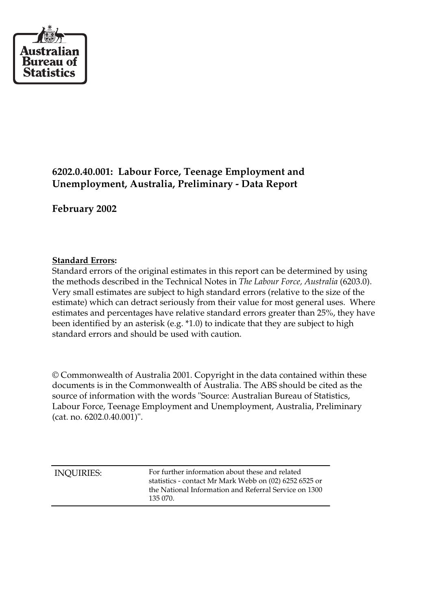

# **6202.0.40.001: Labour Force, Teenage Employment and Unemployment, Australia, Preliminary - Data Report**

**February 2002**

#### **Standard Errors:**

Standard errors of the original estimates in this report can be determined by using the methods described in the Technical Notes in *The Labour Force, Australia* (6203.0). Very small estimates are subject to high standard errors (relative to the size of the estimate) which can detract seriously from their value for most general uses. Where estimates and percentages have relative standard errors greater than 25%, they have been identified by an asterisk (e.g. \*1.0) to indicate that they are subject to high standard errors and should be used with caution.

© Commonwealth of Australia 2001. Copyright in the data contained within these documents is in the Commonwealth of Australia. The ABS should be cited as the source of information with the words "Source: Australian Bureau of Statistics, Labour Force, Teenage Employment and Unemployment, Australia, Preliminary (cat. no. 6202.0.40.001)".

| 135 070. | <b>INQUIRIES:</b> | For further information about these and related<br>statistics - contact Mr Mark Webb on (02) 6252 6525 or<br>the National Information and Referral Service on 1300 |
|----------|-------------------|--------------------------------------------------------------------------------------------------------------------------------------------------------------------|
|----------|-------------------|--------------------------------------------------------------------------------------------------------------------------------------------------------------------|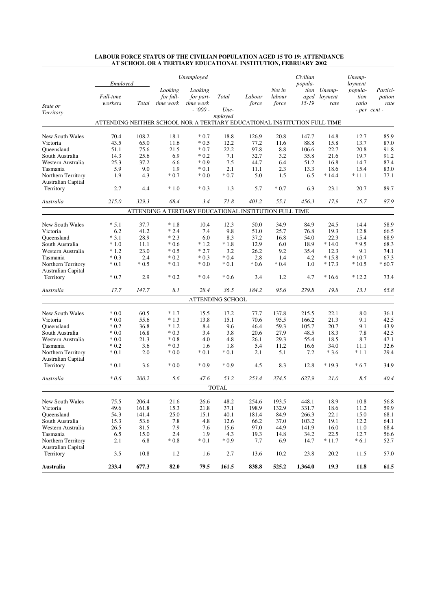|                                          |                                                                           |        | Unemployed                        |                                                        |                  |                 |                           | Civilian                             |                           | Unemp-                              |                            |
|------------------------------------------|---------------------------------------------------------------------------|--------|-----------------------------------|--------------------------------------------------------|------------------|-----------------|---------------------------|--------------------------------------|---------------------------|-------------------------------------|----------------------------|
| State or                                 | Employed<br>Full-time<br>workers                                          | Total  | Looking<br>for full-<br>time work | Looking<br>for part-<br>time work                      | Total            | Labour<br>force | Not in<br>labour<br>force | popula-<br>tion<br>aged<br>$15 - 19$ | Unemp-<br>loyment<br>rate | loyment<br>popula-<br>tion<br>ratio | Partici-<br>pation<br>rate |
| Territory                                |                                                                           |        |                                   | $-7000 -$                                              | Une-<br>mployed  |                 |                           |                                      |                           |                                     | - per cent -               |
|                                          | ATTENDING NEITHER SCHOOL NOR A TERTIARY EDUCATIONAL INSTITUTION FULL TIME |        |                                   |                                                        |                  |                 |                           |                                      |                           |                                     |                            |
| New South Wales                          | 70.4                                                                      | 108.2  | 18.1                              | $*0.7$                                                 | 18.8             | 126.9           | 20.8                      | 147.7                                | 14.8                      | 12.7                                | 85.9                       |
| Victoria                                 | 43.5                                                                      | 65.0   | 11.6                              | $*0.5$                                                 | 12.2             | 77.2            | 11.6                      | 88.8                                 | 15.8                      | 13.7                                | 87.0                       |
| Queensland                               | 51.1                                                                      | 75.6   | 21.5                              | $*0.7$                                                 | 22.2             | 97.8            | 8.8                       | 106.6                                | 22.7                      | 20.8                                | 91.8                       |
| South Australia                          | 14.3                                                                      | 25.6   | 6.9                               | $*0.2$                                                 | 7.1              | 32.7            | 3.2                       | 35.8                                 | 21.6                      | 19.7                                | 91.2                       |
| Western Australia                        | 25.3                                                                      | 37.2   | 6.6                               | $*0.9$                                                 | 7.5              | 44.7            | 6.4                       | 51.2                                 | 16.8                      | 14.7                                | 87.4                       |
| Tasmania                                 | 5.9                                                                       | 9.0    | 1.9                               | $*0.1$                                                 | 2.1              | 11.1            | 2.3                       | 13.3                                 | 18.6                      | 15.4                                | 83.0                       |
| Northern Territory<br>Australian Capital | 1.9                                                                       | 4.3    | $*0.7$                            | $*0.0$                                                 | $*0.7$           | 5.0             | 1.5                       | 6.5                                  | $*14.4$                   | * 11.1                              | 77.1                       |
| Territory                                | 2.7                                                                       | 4.4    | $*1.0$                            | $*0.3$                                                 | 1.3              | 5.7             | $*0.7$                    | 6.3                                  | 23.1                      | 20.7                                | 89.7                       |
| Australia                                | 215.0                                                                     | 329.3  | 68.4                              | 3.4                                                    | 71.8             | 401.2           | 55.1                      | 456.3                                | 17.9                      | 15.7                                | 87.9                       |
|                                          |                                                                           |        |                                   | ATTENDING A TERTIARY EDUCATIONAL INSTITUTION FULL TIME |                  |                 |                           |                                      |                           |                                     |                            |
| New South Wales                          | $* 5.1$                                                                   | 37.7   | $*1.8$                            | 10.4                                                   | 12.3             | 50.0            | 34.9                      | 84.9                                 | 24.5                      | 14.4                                | 58.9                       |
| Victoria                                 | 6.2                                                                       | 41.2   | $*2.4$                            | 7.4                                                    | 9.8              | 51.0            | 25.7                      | 76.8                                 | 19.3                      | 12.8                                | 66.5                       |
| Oueensland                               | $*3.1$                                                                    | 28.9   | $*2.3$                            | 6.0                                                    | 8.3              | 37.2            | 16.8                      | 54.0                                 | 22.3                      | 15.4                                | 68.9                       |
| South Australia                          | $*1.0$                                                                    | 11.1   | $*0.6$                            | $*1.2$                                                 | $*1.8$           | 12.9            | 6.0                       | 18.9                                 | $*14.0$                   | $*9.5$                              | 68.3                       |
| Western Australia                        | $*1.2$                                                                    | 23.0   | $*0.5$                            | $*2.7$                                                 | 3.2              | 26.2            | 9.2                       | 35.4                                 | 12.3                      | 9.1                                 | 74.1                       |
| Tasmania                                 | $*0.3$                                                                    | 2.4    | $*0.2$                            | $*0.3$                                                 | $*0.4$           | 2.8             | 1.4                       | 4.2                                  | $*15.8$                   | $*10.7$                             | 67.3                       |
| Northern Territory<br>Australian Capital | $* 0.1$                                                                   | $*0.5$ | $*0.1$                            | $*0.0$                                                 | $*0.1$           | $*0.6$          | $*0.4$                    | 1.0                                  | $*17.3$                   | $*10.5$                             | $*60.7$                    |
| Territory                                | $*0.7$                                                                    | 2.9    | $*0.2$                            | $*0.4$                                                 | $*0.6$           | 3.4             | 1.2                       | 4.7                                  | $*16.6$                   | $*12.2$                             | 73.4                       |
| Australia                                | 17.7                                                                      | 147.7  | 8.1                               | 28.4                                                   | 36.5             | 184.2           | 95.6                      | 279.8                                | 19.8                      | 13.1                                | 65.8                       |
|                                          |                                                                           |        |                                   |                                                        | ATTENDING SCHOOL |                 |                           |                                      |                           |                                     |                            |
| New South Wales                          | $*0.0$                                                                    | 60.5   | $*1.7$                            | 15.5                                                   | 17.2             | 77.7            | 137.8                     | 215.5                                | 22.1                      | 8.0                                 | 36.1                       |
| Victoria                                 | $*0.0$                                                                    | 55.6   | $*1.3$                            | 13.8                                                   | 15.1             | 70.6            | 95.5                      | 166.2                                | 21.3                      | 9.1                                 | 42.5                       |
| Oueensland                               | $*0.2$                                                                    | 36.8   | $*1.2$                            | 8.4                                                    | 9.6              | 46.4            | 59.3                      | 105.7                                | 20.7                      | 9.1                                 | 43.9                       |
| South Australia                          | $*0.0$                                                                    | 16.8   | $*0.3$                            | 3.4                                                    | 3.8              | 20.6            | 27.9                      | 48.5                                 | 18.3                      | 7.8                                 | 42.5                       |
| Western Australia                        | $*0.0$                                                                    | 21.3   | $*0.8$                            | 4.0                                                    | 4.8              | 26.1            | 29.3                      | 55.4                                 | 18.5                      | 8.7                                 | 47.1                       |
| Tasmania                                 | $*0.2$                                                                    | 3.6    | $*0.3$                            | 1.6                                                    | 1.8              | 5.4             | 11.2                      | 16.6                                 | 34.0                      | 11.1                                | 32.6                       |
| Northern Territory<br>Australian Capital | $*0.1$                                                                    | 2.0    | $*0.0$                            | $*0.1$                                                 | $*0.1$           | 2.1             | 5.1                       | 7.2                                  | $*3.6$                    | $*1.1$                              | 29.4                       |
| Territory                                | $*0.1$                                                                    | 3.6    | $*0.0$                            | $*0.9$                                                 | $*0.9$           | 4.5             | 8.3                       | 12.8                                 | $*19.3$                   | $*6.7$                              | 34.9                       |
| Australia                                | $*0.6$                                                                    | 200.2  | 5.6                               | 47.6                                                   | 53.2             | 253.4           | 374.5                     | 627.9                                | 21.0                      | 8.5                                 | 40.4                       |
|                                          |                                                                           |        |                                   |                                                        | <b>TOTAL</b>     |                 |                           |                                      |                           |                                     |                            |
| New South Wales                          | 75.5                                                                      | 206.4  | 21.6                              | 26.6                                                   | 48.2             | 254.6           | 193.5                     | 448.1                                | 18.9                      | 10.8                                | 56.8                       |
| Victoria                                 | 49.6                                                                      | 161.8  | 15.3                              | 21.8                                                   | 37.1             | 198.9           | 132.9                     | 331.7                                | 18.6                      | 11.2                                | 59.9                       |
| Queensland                               | 54.3                                                                      | 141.4  | 25.0                              | 15.1                                                   | 40.1             | 181.4           | 84.9                      | 266.3                                | 22.1                      | 15.0                                | 68.1                       |
| South Australia                          | 15.3                                                                      | 53.6   | 7.8                               | 4.8                                                    | 12.6             | 66.2            | 37.0                      | 103.2                                | 19.1                      | 12.2                                | 64.1                       |
| Western Australia                        | 26.5                                                                      | 81.5   | 7.9                               | 7.6                                                    | 15.6             | 97.0            | 44.9                      | 141.9                                | 16.0                      | 11.0                                | 68.4                       |
| Tasmania                                 | 6.5                                                                       | 15.0   | 2.4                               | 1.9                                                    | 4.3              | 19.3            | 14.8                      | 34.2                                 | 22.5                      | 12.7                                | 56.6                       |
| Northern Territory<br>Australian Capital | 2.1                                                                       | 6.8    | $*0.8$                            | $*0.1$                                                 | $*0.9$           | 7.7             | 6.9                       | 14.7                                 | $*11.7$                   | $*6.1$                              | 52.7                       |
| Territory                                | 3.5                                                                       | 10.8   | 1.2                               | 1.6                                                    | 2.7              | 13.6            | 10.2                      | 23.8                                 | 20.2                      | 11.5                                | 57.0                       |
| <b>Australia</b>                         | 233.4                                                                     | 677.3  | 82.0                              | 79.5                                                   | 161.5            | 838.8           | 525.2                     | 1,364.0                              | 19.3                      | 11.8                                | 61.5                       |

#### **LABOUR FORCE STATUS OF THE CIVILIAN POPULATION AGED 15 TO 19: ATTENDANCE AT SCHOOL OR A TERTIARY EDUCATIONAL INSTITUTION, FEBRUARY 2002**